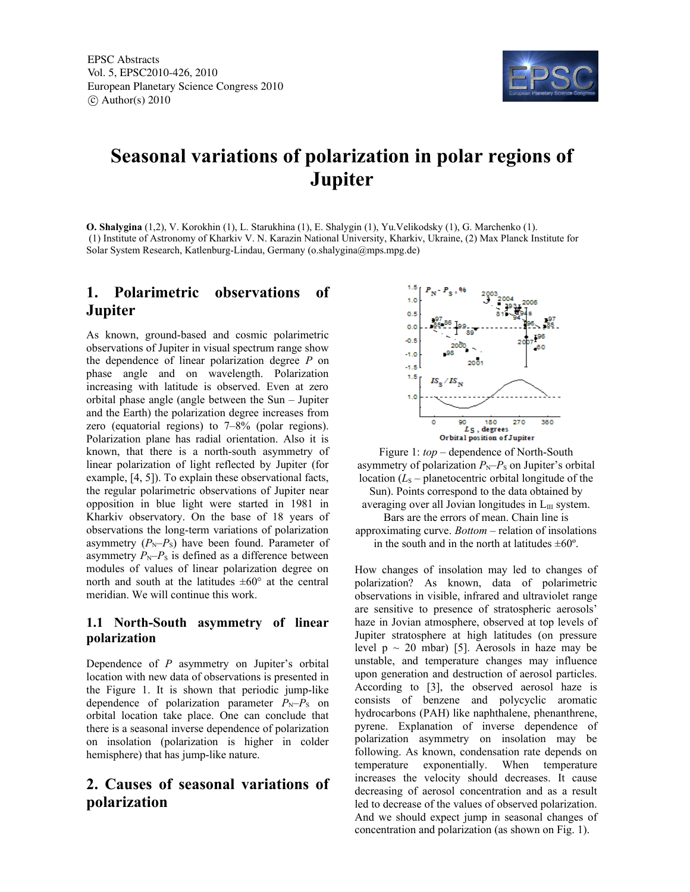

# **Seasonal variations of polarization in polar regions of Jupiter**

**O. Shalygina** (1,2), V. Korokhin (1), L. Starukhina (1), E. Shalygin (1), Yu.Velikodsky (1), G. Marchenko (1). (1) Institute of Astronomy of Kharkiv V. N. Karazin National University, Kharkiv, Ukraine, (2) Max Planck Institute for Solar System Research, Katlenburg-Lindau, Germany (o.shalygina@mps.mpg.de)

# **1. Polarimetric observations of Jupiter**

As known, ground-based and cosmic polarimetric observations of Jupiter in visual spectrum range show the dependence of linear polarization degree *P* on phase angle and on wavelength. Polarization increasing with latitude is observed. Even at zero orbital phase angle (angle between the Sun – Jupiter and the Earth) the polarization degree increases from zero (equatorial regions) to 7–8% (polar regions). Polarization plane has radial orientation. Also it is known, that there is a north-south asymmetry of linear polarization of light reflected by Jupiter (for example, [4, 5]). To explain these observational facts, the regular polarimetric observations of Jupiter near opposition in blue light were started in 1981 in Kharkiv observatory. On the base of 18 years of observations the long-term variations of polarization asymmetry  $(P_N-P_S)$  have been found. Parameter of asymmetry  $P_N-P_S$  is defined as a difference between modules of values of linear polarization degree on north and south at the latitudes  $\pm 60^{\circ}$  at the central meridian. We will continue this work.

# **1.1 North-South asymmetry of linear polarization**

Dependence of *P* asymmetry on Jupiter's orbital location with new data of observations is presented in the Figure 1. It is shown that periodic jump-like dependence of polarization parameter  $P_N-P_S$  on orbital location take place. One can conclude that there is a seasonal inverse dependence of polarization on insolation (polarization is higher in colder hemisphere) that has jump-like nature.

# **2. Causes of seasonal variations of polarization**



Figure 1: *top* – dependence of North-South asymmetry of polarization  $P_N-P_S$  on Jupiter's orbital location  $(L<sub>S</sub> -$  planetocentric orbital longitude of the Sun). Points correspond to the data obtained by averaging over all Jovian longitudes in  $L_{III}$  system. Bars are the errors of mean. Chain line is approximating curve. *Bottom* – relation of insolations in the south and in the north at latitudes  $\pm 60^\circ$ .

How changes of insolation may led to changes of polarization? As known, data of polarimetric observations in visible, infrared and ultraviolet range are sensitive to presence of stratospheric aerosols' haze in Jovian atmosphere, observed at top levels of Jupiter stratosphere at high latitudes (on pressure level  $p \sim 20$  mbar) [5]. Aerosols in haze may be unstable, and temperature changes may influence upon generation and destruction of aerosol particles. According to [3], the observed aerosol haze is consists of benzene and polycyclic aromatic hydrocarbons (PAH) like naphthalene, phenanthrene, pyrene. Explanation of inverse dependence of polarization asymmetry on insolation may be following. As known, condensation rate depends on temperature exponentially. When temperature increases the velocity should decreases. It cause decreasing of aerosol concentration and as a result led to decrease of the values of observed polarization. And we should expect jump in seasonal changes of concentration and polarization (as shown on Fig. 1).